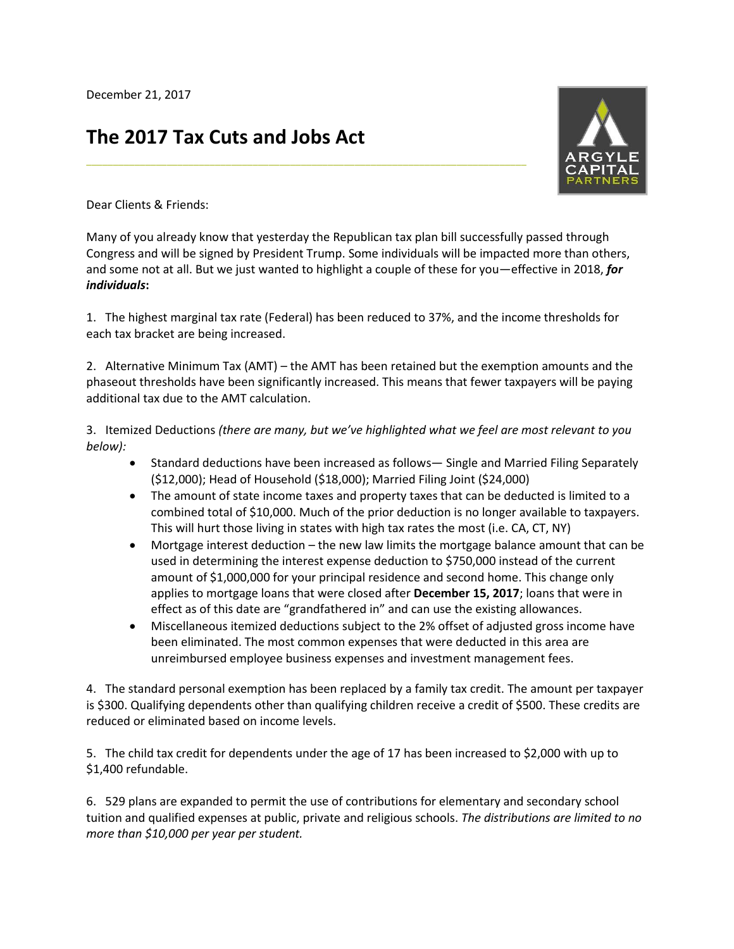## **The 2017 Tax Cuts and Jobs Act**



Dear Clients & Friends:

Many of you already know that yesterday the Republican tax plan bill successfully passed through Congress and will be signed by President Trump. Some individuals will be impacted more than others, and some not at all. But we just wanted to highlight a couple of these for you—effective in 2018, *for individuals***:**

**\_\_\_\_\_\_\_\_\_\_\_\_\_\_\_\_\_\_\_\_\_\_\_\_\_\_\_\_\_\_\_\_\_\_\_\_\_\_\_\_\_\_\_\_\_\_\_\_\_\_\_\_\_\_\_\_\_\_\_\_\_\_\_\_\_\_\_\_\_\_\_\_\_\_\_\_\_\_\_\_\_\_**

1. The highest marginal tax rate (Federal) has been reduced to 37%, and the income thresholds for each tax bracket are being increased.

2.Alternative Minimum Tax (AMT) – the AMT has been retained but the exemption amounts and the phaseout thresholds have been significantly increased. This means that fewer taxpayers will be paying additional tax due to the AMT calculation.

3.Itemized Deductions *(there are many, but we've highlighted what we feel are most relevant to you below):*

- Standard deductions have been increased as follows— Single and Married Filing Separately (\$12,000); Head of Household (\$18,000); Married Filing Joint (\$24,000)
- The amount of state income taxes and property taxes that can be deducted is limited to a combined total of \$10,000. Much of the prior deduction is no longer available to taxpayers. This will hurt those living in states with high tax rates the most (i.e. CA, CT, NY)
- Mortgage interest deduction the new law limits the mortgage balance amount that can be used in determining the interest expense deduction to \$750,000 instead of the current amount of \$1,000,000 for your principal residence and second home. This change only applies to mortgage loans that were closed after **December 15, 2017**; loans that were in effect as of this date are "grandfathered in" and can use the existing allowances.
- Miscellaneous itemized deductions subject to the 2% offset of adjusted gross income have been eliminated. The most common expenses that were deducted in this area are unreimbursed employee business expenses and investment management fees.

4. The standard personal exemption has been replaced by a family tax credit. The amount per taxpayer is \$300. Qualifying dependents other than qualifying children receive a credit of \$500. These credits are reduced or eliminated based on income levels.

5. The child tax credit for dependents under the age of 17 has been increased to \$2,000 with up to \$1,400 refundable.

6. 529 plans are expanded to permit the use of contributions for elementary and secondary school tuition and qualified expenses at public, private and religious schools. *The distributions are limited to no more than \$10,000 per year per student.*